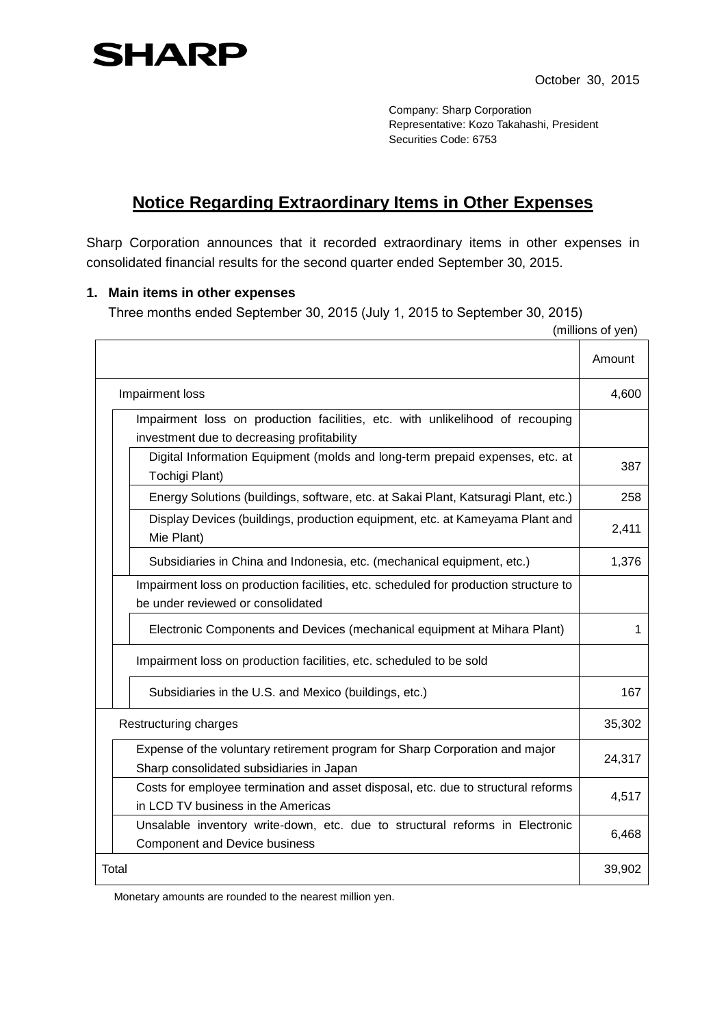

Company: Sharp Corporation Representative: Kozo Takahashi, President Securities Code: 6753

## **Notice Regarding Extraordinary Items in Other Expenses**

Sharp Corporation announces that it recorded extraordinary items in other expenses in consolidated financial results for the second quarter ended September 30, 2015.

## **1. Main items in other expenses**

Three months ended September 30, 2015 (July 1, 2015 to September 30, 2015)

|  |                                                                                                                             | (millions of yen) |
|--|-----------------------------------------------------------------------------------------------------------------------------|-------------------|
|  |                                                                                                                             | Amount            |
|  | Impairment loss                                                                                                             | 4,600             |
|  | Impairment loss on production facilities, etc. with unlikelihood of recouping<br>investment due to decreasing profitability |                   |
|  | Digital Information Equipment (molds and long-term prepaid expenses, etc. at<br>Tochigi Plant)                              | 387               |
|  | Energy Solutions (buildings, software, etc. at Sakai Plant, Katsuragi Plant, etc.)                                          | 258               |
|  | Display Devices (buildings, production equipment, etc. at Kameyama Plant and<br>Mie Plant)                                  | 2,411             |
|  | Subsidiaries in China and Indonesia, etc. (mechanical equipment, etc.)                                                      | 1,376             |
|  | Impairment loss on production facilities, etc. scheduled for production structure to<br>be under reviewed or consolidated   |                   |
|  | Electronic Components and Devices (mechanical equipment at Mihara Plant)                                                    | 1                 |
|  | Impairment loss on production facilities, etc. scheduled to be sold                                                         |                   |
|  | Subsidiaries in the U.S. and Mexico (buildings, etc.)                                                                       | 167               |
|  | Restructuring charges                                                                                                       | 35,302            |
|  | Expense of the voluntary retirement program for Sharp Corporation and major<br>Sharp consolidated subsidiaries in Japan     | 24,317            |
|  | Costs for employee termination and asset disposal, etc. due to structural reforms<br>in LCD TV business in the Americas     | 4,517             |
|  | Unsalable inventory write-down, etc. due to structural reforms in Electronic<br><b>Component and Device business</b>        | 6,468             |
|  | Total                                                                                                                       | 39,902            |

Monetary amounts are rounded to the nearest million yen.